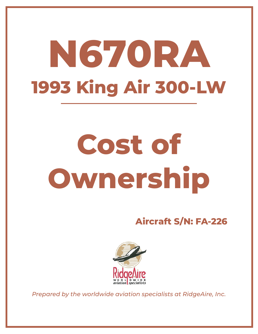## **N670RA 1993 King Air 300-LW**

## **Cost of Ownership**

**Aircraft S/N: FA-226**



*Prepared by the worldwide aviation specialists at RidgeAire, Inc.*